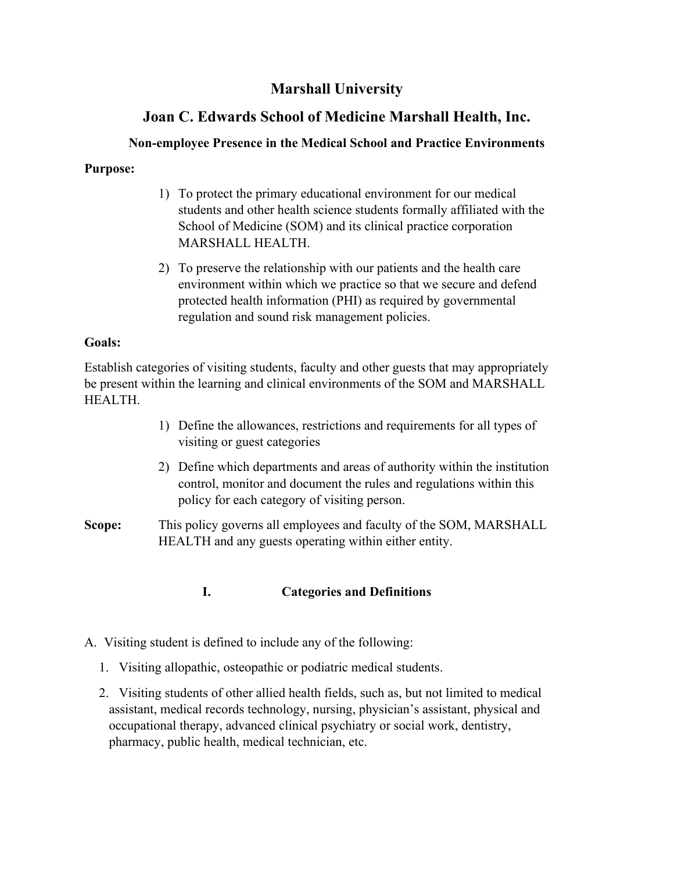# **Marshall University**

# **Joan C. Edwards School of Medicine Marshall Health, Inc.**

## **Non-employee Presence in the Medical School and Practice Environments**

## **Purpose:**

- 1) To protect the primary educational environment for our medical students and other health science students formally affiliated with the School of Medicine (SOM) and its clinical practice corporation MARSHALL HEALTH.
- 2) To preserve the relationship with our patients and the health care environment within which we practice so that we secure and defend protected health information (PHI) as required by governmental regulation and sound risk management policies.

## **Goals:**

Establish categories of visiting students, faculty and other guests that may appropriately be present within the learning and clinical environments of the SOM and MARSHALL HEALTH.

- 1) Define the allowances, restrictions and requirements for all types of visiting or guest categories
- 2) Define which departments and areas of authority within the institution control, monitor and document the rules and regulations within this policy for each category of visiting person.
- **Scope:** This policy governs all employees and faculty of the SOM, MARSHALL HEALTH and any guests operating within either entity.

## **I. Categories and Definitions**

- A. Visiting student is defined to include any of the following:
	- 1. Visiting allopathic, osteopathic or podiatric medical students.
	- 2. Visiting students of other allied health fields, such as, but not limited to medical assistant, medical records technology, nursing, physician's assistant, physical and occupational therapy, advanced clinical psychiatry or social work, dentistry, pharmacy, public health, medical technician, etc.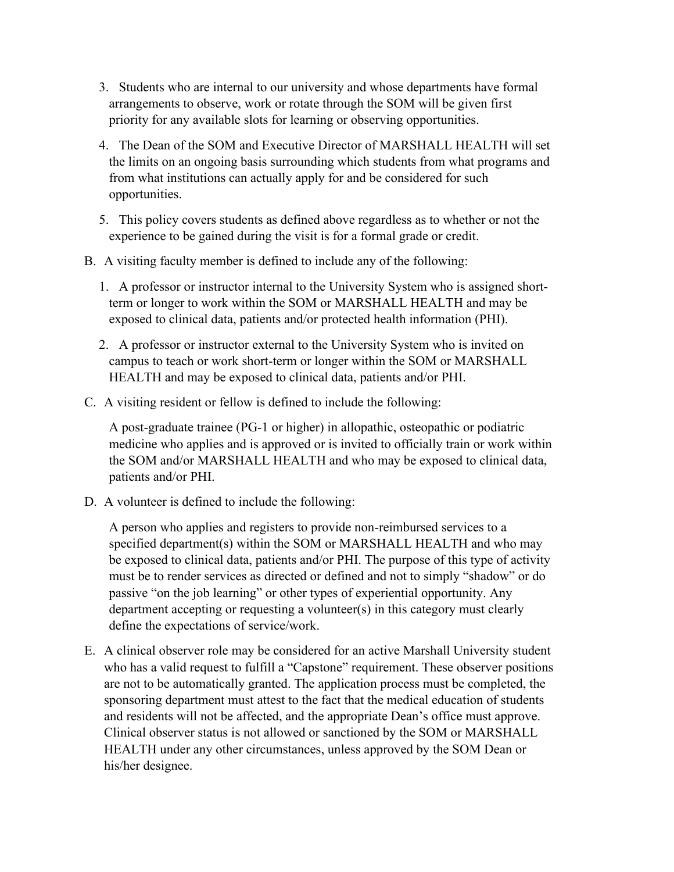- 3. Students who are internal to our university and whose departments have formal arrangements to observe, work or rotate through the SOM will be given first priority for any available slots for learning or observing opportunities.
- 4. The Dean of the SOM and Executive Director of MARSHALL HEALTH will set the limits on an ongoing basis surrounding which students from what programs and from what institutions can actually apply for and be considered for such opportunities.
- 5. This policy covers students as defined above regardless as to whether or not the experience to be gained during the visit is for a formal grade or credit.
- B. A visiting faculty member is defined to include any of the following:
	- 1. A professor or instructor internal to the University System who is assigned shortterm or longer to work within the SOM or MARSHALL HEALTH and may be exposed to clinical data, patients and/or protected health information (PHI).
	- 2. A professor or instructor external to the University System who is invited on campus to teach or work short-term or longer within the SOM or MARSHALL HEALTH and may be exposed to clinical data, patients and/or PHI.
- C. A visiting resident or fellow is defined to include the following:

A post-graduate trainee (PG-1 or higher) in allopathic, osteopathic or podiatric medicine who applies and is approved or is invited to officially train or work within the SOM and/or MARSHALL HEALTH and who may be exposed to clinical data, patients and/or PHI.

D. A volunteer is defined to include the following:

A person who applies and registers to provide non-reimbursed services to a specified department(s) within the SOM or MARSHALL HEALTH and who may be exposed to clinical data, patients and/or PHI. The purpose of this type of activity must be to render services as directed or defined and not to simply "shadow" or do passive "on the job learning" or other types of experiential opportunity. Any department accepting or requesting a volunteer(s) in this category must clearly define the expectations of service/work.

E. A clinical observer role may be considered for an active Marshall University student who has a valid request to fulfill a "Capstone" requirement. These observer positions are not to be automatically granted. The application process must be completed, the sponsoring department must attest to the fact that the medical education of students and residents will not be affected, and the appropriate Dean's office must approve. Clinical observer status is not allowed or sanctioned by the SOM or MARSHALL HEALTH under any other circumstances, unless approved by the SOM Dean or his/her designee.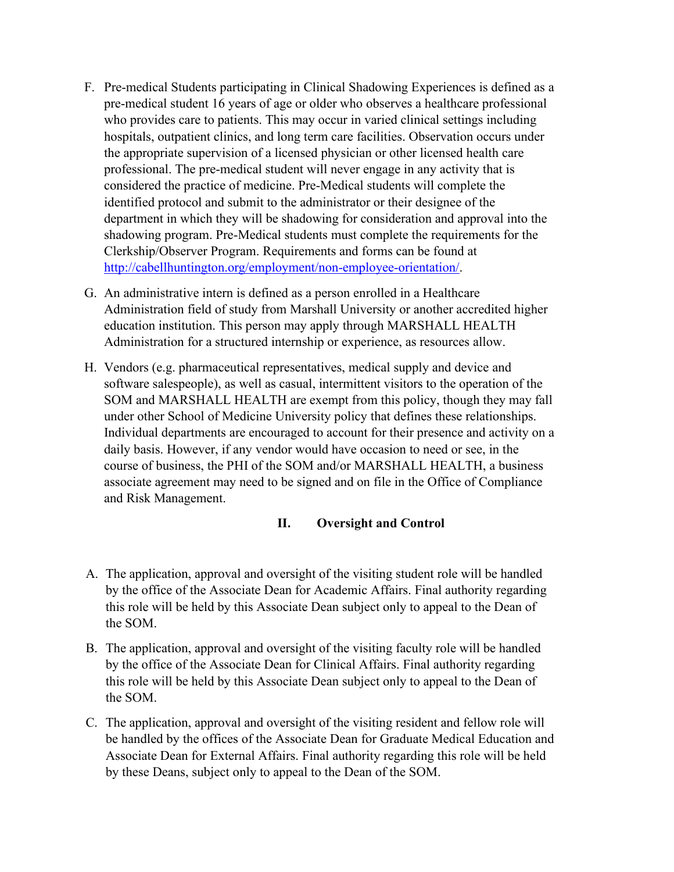- F. Pre-medical Students participating in Clinical Shadowing Experiences is defined as a pre-medical student 16 years of age or older who observes a healthcare professional who provides care to patients. This may occur in varied clinical settings including hospitals, outpatient clinics, and long term care facilities. Observation occurs under the appropriate supervision of a licensed physician or other licensed health care professional. The pre-medical student will never engage in any activity that is considered the practice of medicine. Pre-Medical students will complete the identified protocol and submit to the administrator or their designee of the department in which they will be shadowing for consideration and approval into the shadowing program. Pre-Medical students must complete the requirements for the Clerkship/Observer Program. Requirements and forms can be found at [http://cabellhuntington.org/employment/non-employee-orientation/.](http://cabellhuntington.org/employment/non-employee-orientation/)
- G. An administrative intern is defined as a person enrolled in a Healthcare Administration field of study from Marshall University or another accredited higher education institution. This person may apply through MARSHALL HEALTH Administration for a structured internship or experience, as resources allow.
- H. Vendors (e.g. pharmaceutical representatives, medical supply and device and software salespeople), as well as casual, intermittent visitors to the operation of the SOM and MARSHALL HEALTH are exempt from this policy, though they may fall under other School of Medicine University policy that defines these relationships. Individual departments are encouraged to account for their presence and activity on a daily basis. However, if any vendor would have occasion to need or see, in the course of business, the PHI of the SOM and/or MARSHALL HEALTH, a business associate agreement may need to be signed and on file in the Office of Compliance and Risk Management.

#### **II. Oversight and Control**

- A. The application, approval and oversight of the visiting student role will be handled by the office of the Associate Dean for Academic Affairs. Final authority regarding this role will be held by this Associate Dean subject only to appeal to the Dean of the SOM.
- B. The application, approval and oversight of the visiting faculty role will be handled by the office of the Associate Dean for Clinical Affairs. Final authority regarding this role will be held by this Associate Dean subject only to appeal to the Dean of the SOM.
- C. The application, approval and oversight of the visiting resident and fellow role will be handled by the offices of the Associate Dean for Graduate Medical Education and Associate Dean for External Affairs. Final authority regarding this role will be held by these Deans, subject only to appeal to the Dean of the SOM.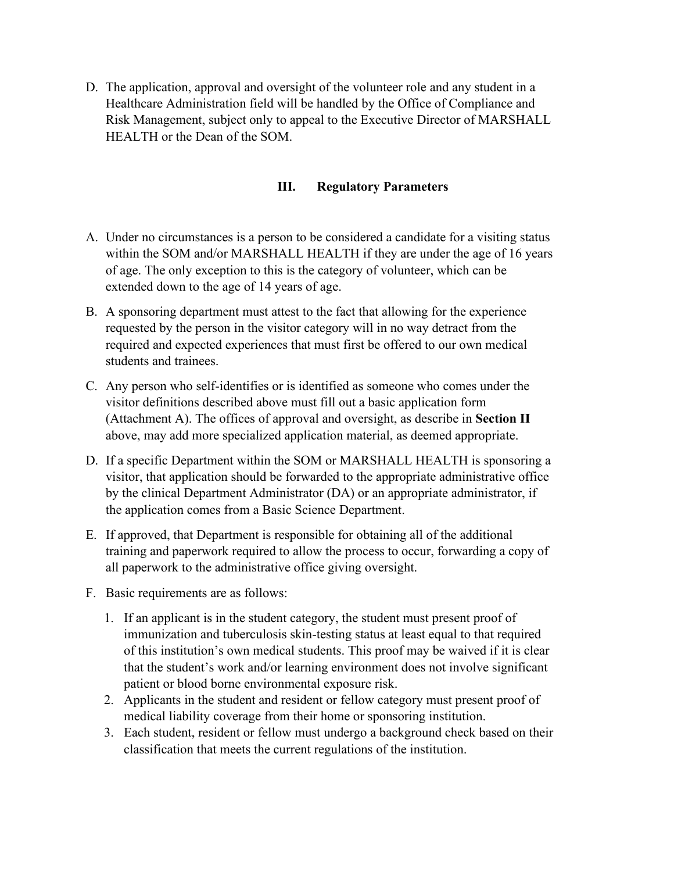D. The application, approval and oversight of the volunteer role and any student in a Healthcare Administration field will be handled by the Office of Compliance and Risk Management, subject only to appeal to the Executive Director of MARSHALL HEALTH or the Dean of the SOM.

#### **III. Regulatory Parameters**

- A. Under no circumstances is a person to be considered a candidate for a visiting status within the SOM and/or MARSHALL HEALTH if they are under the age of 16 years of age. The only exception to this is the category of volunteer, which can be extended down to the age of 14 years of age.
- B. A sponsoring department must attest to the fact that allowing for the experience requested by the person in the visitor category will in no way detract from the required and expected experiences that must first be offered to our own medical students and trainees.
- C. Any person who self-identifies or is identified as someone who comes under the visitor definitions described above must fill out a basic application form (Attachment A). The offices of approval and oversight, as describe in **Section II**  above, may add more specialized application material, as deemed appropriate.
- D. If a specific Department within the SOM or MARSHALL HEALTH is sponsoring a visitor, that application should be forwarded to the appropriate administrative office by the clinical Department Administrator (DA) or an appropriate administrator, if the application comes from a Basic Science Department.
- E. If approved, that Department is responsible for obtaining all of the additional training and paperwork required to allow the process to occur, forwarding a copy of all paperwork to the administrative office giving oversight.
- F. Basic requirements are as follows:
	- 1. If an applicant is in the student category, the student must present proof of immunization and tuberculosis skin-testing status at least equal to that required of this institution's own medical students. This proof may be waived if it is clear that the student's work and/or learning environment does not involve significant patient or blood borne environmental exposure risk.
	- 2. Applicants in the student and resident or fellow category must present proof of medical liability coverage from their home or sponsoring institution.
	- 3. Each student, resident or fellow must undergo a background check based on their classification that meets the current regulations of the institution.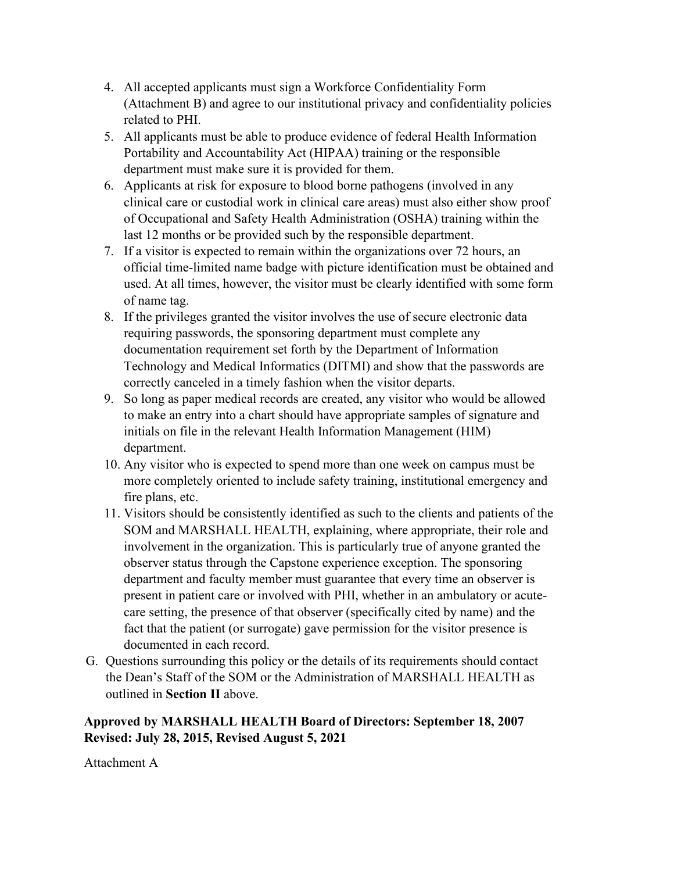- 4. All accepted applicants must sign a Workforce Confidentiality Form (Attachment B) and agree to our institutional privacy and confidentiality policies related to PHI.
- 5. All applicants must be able to produce evidence of federal Health Information Portability and Accountability Act (HIPAA) training or the responsible department must make sure it is provided for them.
- 6. Applicants at risk for exposure to blood borne pathogens (involved in any clinical care or custodial work in clinical care areas) must also either show proof of Occupational and Safety Health Administration (OSHA) training within the last 12 months or be provided such by the responsible department.
- 7. If a visitor is expected to remain within the organizations over 72 hours, an official time-limited name badge with picture identification must be obtained and used. At all times, however, the visitor must be clearly identified with some form of name tag.
- 8. If the privileges granted the visitor involves the use of secure electronic data requiring passwords, the sponsoring department must complete any documentation requirement set forth by the Department of Information Technology and Medical Informatics (DITMI) and show that the passwords are correctly canceled in a timely fashion when the visitor departs.
- 9. So long as paper medical records are created, any visitor who would be allowed to make an entry into a chart should have appropriate samples of signature and initials on file in the relevant Health Information Management (HIM) department.
- 10. Any visitor who is expected to spend more than one week on campus must be more completely oriented to include safety training, institutional emergency and fire plans, etc.
- 11. Visitors should be consistently identified as such to the clients and patients of the SOM and MARSHALL HEALTH, explaining, where appropriate, their role and involvement in the organization. This is particularly true of anyone granted the observer status through the Capstone experience exception. The sponsoring department and faculty member must guarantee that every time an observer is present in patient care or involved with PHI, whether in an ambulatory or acutecare setting, the presence of that observer (specifically cited by name) and the fact that the patient (or surrogate) gave permission for the visitor presence is documented in each record.
- G. Questions surrounding this policy or the details of its requirements should contact the Dean's Staff of the SOM or the Administration of MARSHALL HEALTH as outlined in **Section II** above.

## **Approved by MARSHALL HEALTH Board of Directors: September 18, 2007 Revised: July 28, 2015, Revised August 5, 2021**

Attachment A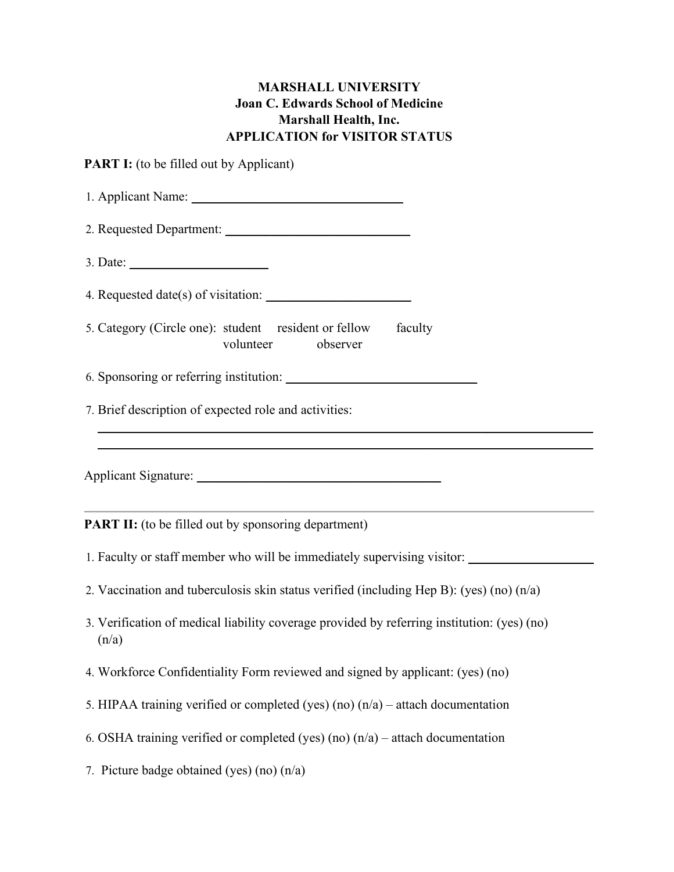# **MARSHALL UNIVERSITY Joan C. Edwards School of Medicine Marshall Health, Inc. APPLICATION for VISITOR STATUS**

**PART I:** (to be filled out by Applicant)

| 1. Applicant Name: 1. 2008                                                                           |  |  |
|------------------------------------------------------------------------------------------------------|--|--|
|                                                                                                      |  |  |
| 3. Date: $\qquad \qquad$                                                                             |  |  |
|                                                                                                      |  |  |
| 5. Category (Circle one): student resident or fellow<br>faculty<br>volunteer<br>observer             |  |  |
|                                                                                                      |  |  |
| 7. Brief description of expected role and activities:                                                |  |  |
|                                                                                                      |  |  |
|                                                                                                      |  |  |
|                                                                                                      |  |  |
| <b>PART II:</b> (to be filled out by sponsoring department)                                          |  |  |
| 1. Faculty or staff member who will be immediately supervising visitor: ________                     |  |  |
| 2. Vaccination and tuberculosis skin status verified (including Hep B): (yes) (no) $(n/a)$           |  |  |
| 3. Verification of medical liability coverage provided by referring institution: (yes) (no)<br>(n/a) |  |  |
| 4. Workforce Confidentiality Form reviewed and signed by applicant: (yes) (no)                       |  |  |
| 5. HIPAA training verified or completed (yes) (no) $(n/a)$ – attach documentation                    |  |  |
| 6. OSHA training verified or completed (yes) (no) $(n/a)$ – attach documentation                     |  |  |
| 7. Picture badge obtained (yes) (no) $(n/a)$                                                         |  |  |
|                                                                                                      |  |  |